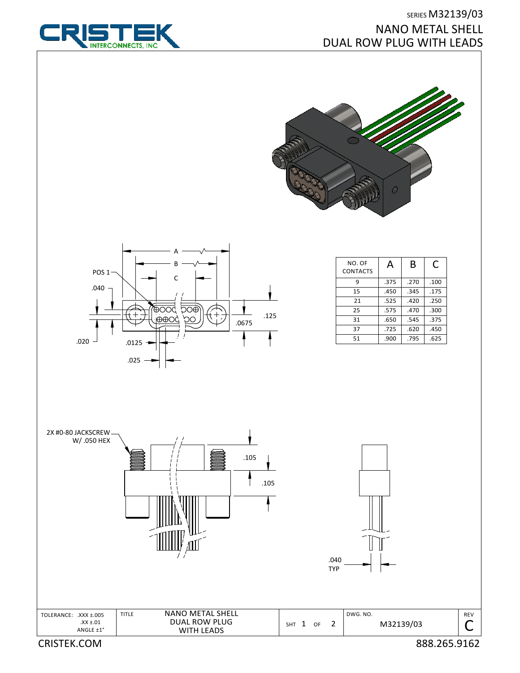

## SERIES M32139/03 NANO METAL SHELL DUAL ROW PLUG WITH LEADS





| NO. OF<br><b>CONTACTS</b> | А    | B    | C    |
|---------------------------|------|------|------|
| q                         | .375 | .270 | .100 |
| 15                        | .450 | .345 | .175 |
| 21                        | .525 | .420 | .250 |
| 25                        | .575 | .470 | .300 |
| 31                        | .650 | .545 | .375 |
| 37                        | .725 | .620 | .450 |
| 51                        | .900 | .795 | .625 |